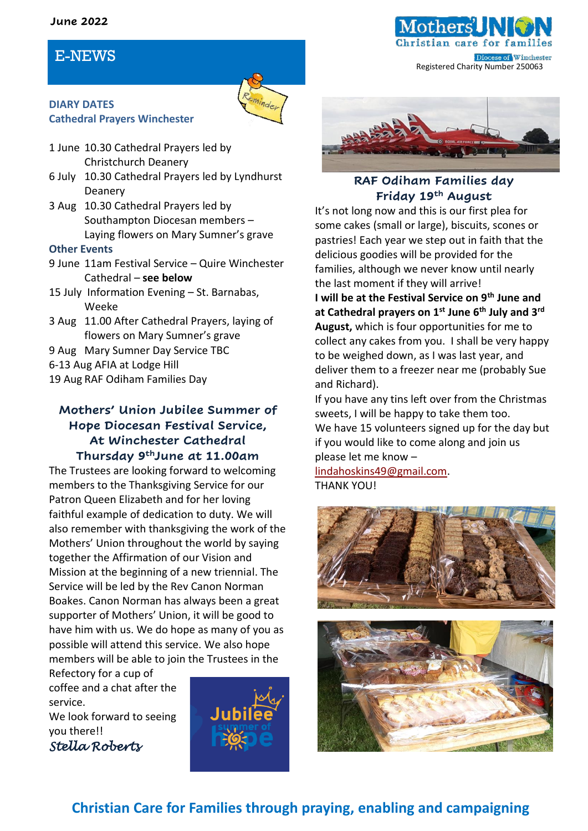#### **June 2022**

# E-NEWS



### **DIARY DATES Cathedral Prayers Winchester**

- 1 June 10.30 Cathedral Prayers led by Christchurch Deanery
- 6 July 10.30 Cathedral Prayers led by Lyndhurst Deanery
- 3 Aug 10.30 Cathedral Prayers led by Southampton Diocesan members – Laying flowers on Mary Sumner's grave

#### **Other Events**

- 9 June 11am Festival Service Quire Winchester Cathedral – **see below**
- 15 July Information Evening St. Barnabas, Weeke
- 3 Aug 11.00 After Cathedral Prayers, laying of flowers on Mary Sumner's grave
- 9 Aug Mary Sumner Day Service TBC
- 6-13 Aug AFIA at Lodge Hill
- 19 Aug RAF Odiham Families Day

### **Mothers' Union Jubilee Summer of Hope Diocesan Festival Service, At Winchester Cathedral Thursday 9thJune at 11.00am**

The Trustees are looking forward to welcoming members to the Thanksgiving Service for our Patron Queen Elizabeth and for her loving faithful example of dedication to duty. We will also remember with thanksgiving the work of the Mothers' Union throughout the world by saying together the Affirmation of our Vision and Mission at the beginning of a new triennial. The Service will be led by the Rev Canon Norman Boakes. Canon Norman has always been a great supporter of Mothers' Union, it will be good to have him with us. We do hope as many of you as possible will attend this service. We also hope members will be able to join the Trustees in the

Refectory for a cup of coffee and a chat after the service.

We look forward to seeing you there!! *Stella Roberts* 





tian care

Registered Charity Number 250063

Diocese of Winchester

### **RAF Odiham Families day Friday 19th August**

It's not long now and this is our first plea for some cakes (small or large), biscuits, scones or pastries! Each year we step out in faith that the delicious goodies will be provided for the families, although we never know until nearly the last moment if they will arrive!

**I will be at the Festival Service on 9th June and at Cathedral prayers on 1st June 6th July and 3rd August,** which is four opportunities for me to collect any cakes from you. I shall be very happy to be weighed down, as I was last year, and deliver them to a freezer near me (probably Sue and Richard).

If you have any tins left over from the Christmas sweets, I will be happy to take them too. We have 15 volunteers signed up for the day but if you would like to come along and join us please let me know –

[lindahoskins49@gmail.com.](mailto:lindahoskins49@gmail.com) THANK YOU!





# **Christian Care for Families through praying, enabling and campaigning**